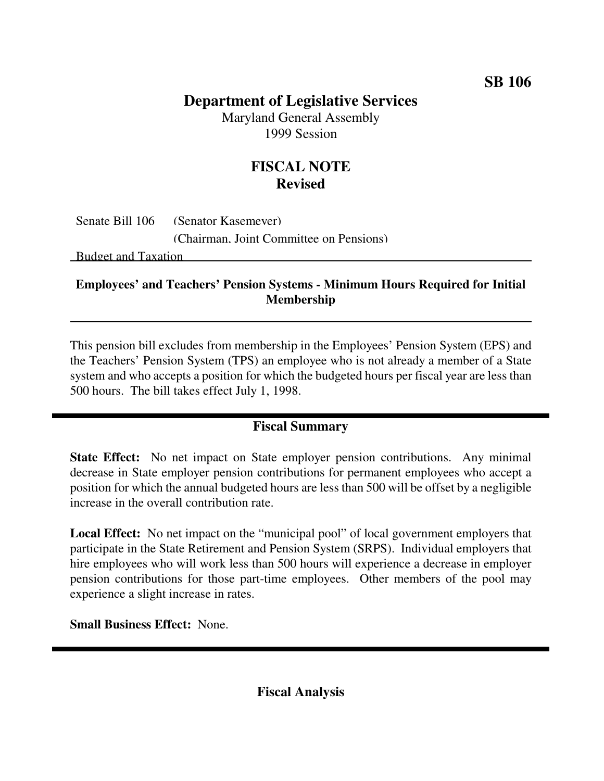#### **SB 106**

# **Department of Legislative Services**

Maryland General Assembly 1999 Session

# **FISCAL NOTE Revised**

Senate Bill 106 (Senator Kasemeyer) (Chairman, Joint Committee on Pensions)

Budget and Taxation

#### **Employees' and Teachers' Pension Systems - Minimum Hours Required for Initial Membership**

This pension bill excludes from membership in the Employees' Pension System (EPS) and the Teachers' Pension System (TPS) an employee who is not already a member of a State system and who accepts a position for which the budgeted hours per fiscal year are less than 500 hours. The bill takes effect July 1, 1998.

### **Fiscal Summary**

**State Effect:** No net impact on State employer pension contributions. Any minimal decrease in State employer pension contributions for permanent employees who accept a position for which the annual budgeted hours are less than 500 will be offset by a negligible increase in the overall contribution rate.

**Local Effect:** No net impact on the "municipal pool" of local government employers that participate in the State Retirement and Pension System (SRPS). Individual employers that hire employees who will work less than 500 hours will experience a decrease in employer pension contributions for those part-time employees. Other members of the pool may experience a slight increase in rates.

**Small Business Effect:** None.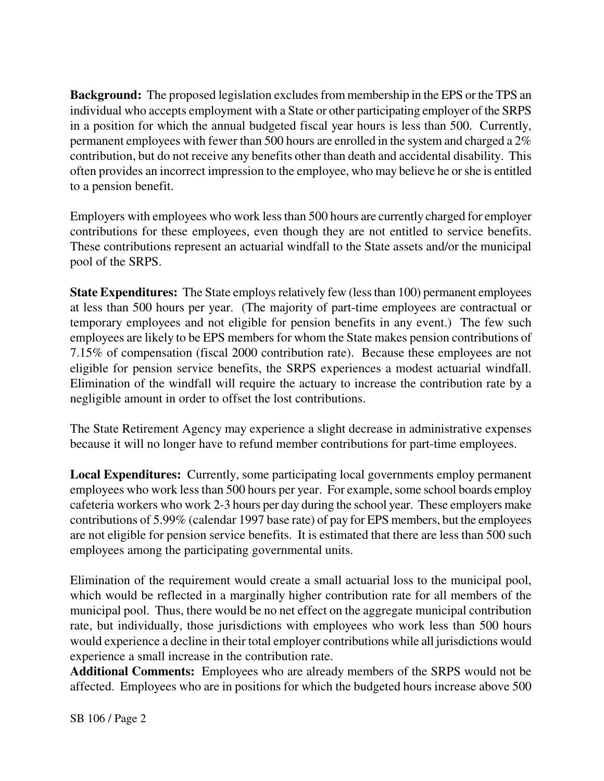**Background:** The proposed legislation excludes from membership in the EPS or the TPS an individual who accepts employment with a State or other participating employer of the SRPS in a position for which the annual budgeted fiscal year hours is less than 500. Currently, permanent employees with fewer than 500 hours are enrolled in the system and charged a 2% contribution, but do not receive any benefits other than death and accidental disability. This often provides an incorrect impression to the employee, who may believe he orshe is entitled to a pension benefit.

Employers with employees who work lessthan 500 hours are currently charged for employer contributions for these employees, even though they are not entitled to service benefits. These contributions represent an actuarial windfall to the State assets and/or the municipal pool of the SRPS.

**State Expenditures:** The State employs relatively few (less than 100) permanent employees at less than 500 hours per year. (The majority of part-time employees are contractual or temporary employees and not eligible for pension benefits in any event.) The few such employees are likely to be EPS members for whom the State makes pension contributions of 7.15% of compensation (fiscal 2000 contribution rate). Because these employees are not eligible for pension service benefits, the SRPS experiences a modest actuarial windfall. Elimination of the windfall will require the actuary to increase the contribution rate by a negligible amount in order to offset the lost contributions.

The State Retirement Agency may experience a slight decrease in administrative expenses because it will no longer have to refund member contributions for part-time employees.

**Local Expenditures:** Currently, some participating local governments employ permanent employees who work less than 500 hours per year. For example, some school boards employ cafeteria workers who work 2-3 hours per day during the school year. These employers make contributions of 5.99% (calendar 1997 base rate) of pay for EPS members, but the employees are not eligible for pension service benefits. It is estimated that there are less than 500 such employees among the participating governmental units.

Elimination of the requirement would create a small actuarial loss to the municipal pool, which would be reflected in a marginally higher contribution rate for all members of the municipal pool. Thus, there would be no net effect on the aggregate municipal contribution rate, but individually, those jurisdictions with employees who work less than 500 hours would experience a decline in their total employer contributions while all jurisdictions would experience a small increase in the contribution rate.

**Additional Comments:** Employees who are already members of the SRPS would not be affected. Employees who are in positions for which the budgeted hours increase above 500